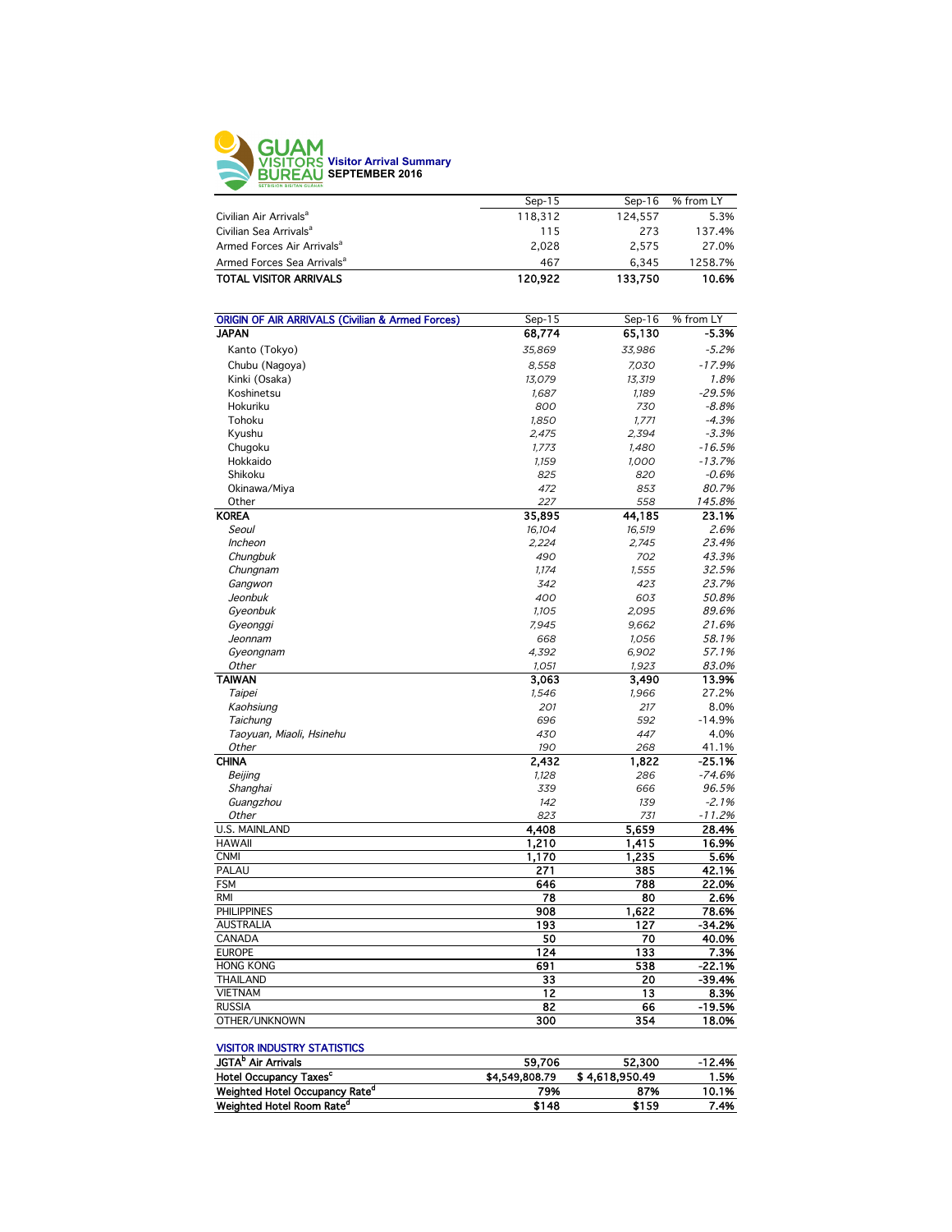

| $Sep-15$ | $Sen-16$ | % from LY |
|----------|----------|-----------|
| 118.312  | 124.557  | 5.3%      |
| 115      | 273      | 137.4%    |
| 2.028    | 2.575    | 27.0%     |
| 467      | 6.345    | 1258.7%   |
| 120.922  | 133.750  | 10.6%     |
|          |          |           |

| <b>ORIGIN OF AIR ARRIVALS (Civilian &amp; Armed Forces)</b><br>$Sep-15$<br>$Sep-16$ | % from LY |
|-------------------------------------------------------------------------------------|-----------|
| <b>JAPAN</b><br>68,774<br>65,130                                                    | $-5.3%$   |
| Kanto (Tokyo)<br>35,869<br>33,986                                                   | $-5.2%$   |
| Chubu (Nagoya)<br>8,558<br>7,030                                                    | $-17.9%$  |
| Kinki (Osaka)<br>13,079<br>13,319                                                   | 1.8%      |
| Koshinetsu<br>1,687<br>1,189                                                        | $-29.5%$  |
| Hokuriku<br>730<br>800                                                              | $-8.8%$   |
| Tohoku<br>1,850<br>1,771                                                            | $-4.3%$   |
| 2,394<br>Kyushu<br>2,475                                                            | $-3.3%$   |
| Chugoku<br>1,773<br>1,480                                                           | $-16.5%$  |
| Hokkaido<br>1,159<br>1,000                                                          | $-13.7%$  |
| Shikoku<br>825<br>820                                                               | $-0.6%$   |
| Okinawa/Miya<br>472<br>853                                                          | 80.7%     |
| Other<br>558<br>227                                                                 | 145.8%    |
| <b>KOREA</b><br>35,895<br>44,185                                                    | 23.1%     |
| Seoul<br>16,104<br>16,519                                                           | 2.6%      |
| <b>Incheon</b><br>2.224<br>2.745                                                    | 23.4%     |
| Chungbuk<br>490<br>702                                                              | 43.3%     |
| Chungnam<br>1,174<br>1,555                                                          | 32.5%     |
| 423<br>Gangwon<br>342                                                               | 23.7%     |
| Jeonbuk<br>400<br>603                                                               | 50.8%     |
| Gyeonbuk<br>1,105<br>2,095                                                          | 89.6%     |
| 7,945<br>9,662<br>Gyeonggi                                                          | 21.6%     |
| Jeonnam<br>668<br>1,056                                                             | 58.1%     |
| Gyeongnam<br>4,392<br>6,902                                                         | 57.1%     |
| Other<br>1,051<br>1,923                                                             | 83.0%     |
| <b>TAIWAN</b><br>3.063<br>3.490                                                     | 13.9%     |
| Taipei<br>1,546<br>1,966                                                            | 27.2%     |
| 201<br>Kaohsiung<br>217                                                             | 8.0%      |
| Taichung<br>696<br>592                                                              | $-14.9%$  |
| Taoyuan, Miaoli, Hsinehu<br>430<br>447                                              | 4.0%      |
| Other<br>190<br>268                                                                 | 41.1%     |
| <b>CHINA</b><br>2,432<br>1,822                                                      | $-25.1%$  |
| Beijing<br>1,128<br>286                                                             | $-74.6%$  |
| 339<br>Shanghai<br>666                                                              | 96.5%     |
| Guangzhou<br>142<br>139                                                             | $-2.1%$   |
| Other<br>823<br>731                                                                 | $-11.2%$  |
| 4,408<br>5,659<br><b>U.S. MAINLAND</b>                                              | 28.4%     |
| <b>HAWAII</b><br>1,210<br>1,415                                                     | 16.9%     |
| <b>CNMI</b><br>1,170<br>1,235                                                       | 5.6%      |
| PALAU<br>271<br>385                                                                 | 42.1%     |
| 788<br><b>FSM</b><br>646                                                            | 22.0%     |
| <b>RMI</b><br>78<br>80                                                              | 2.6%      |
| <b>PHILIPPINES</b><br>908<br>1,622                                                  | 78.6%     |
| <b>AUSTRALIA</b><br>193<br>127                                                      | -34.2%    |
| 50<br>70<br>CANADA                                                                  | 40.0%     |
| <b>EUROPE</b><br>124<br>133                                                         | 7.3%      |
| 538<br><b>HONG KONG</b><br>691                                                      | $-22.1%$  |
| 33<br>20<br><b>THAILAND</b>                                                         | $-39.4%$  |
| 12<br><b>VIETNAM</b><br>13                                                          | 8.3%      |
| $\overline{82}$<br><b>RUSSIA</b><br>66                                              | $-19.5%$  |
| OTHER/UNKNOWN<br>300<br>354                                                         | 18.0%     |

#### VISITOR INDUSTRY STATISTICS

| 59.706         | 52,300         | $-12.4%$ |
|----------------|----------------|----------|
| \$4,549,808.79 | \$4.618.950.49 | 1.5%     |
| 79%            | 87%            | 10.1%    |
| \$148          | \$159          | 7.4%     |
|                |                |          |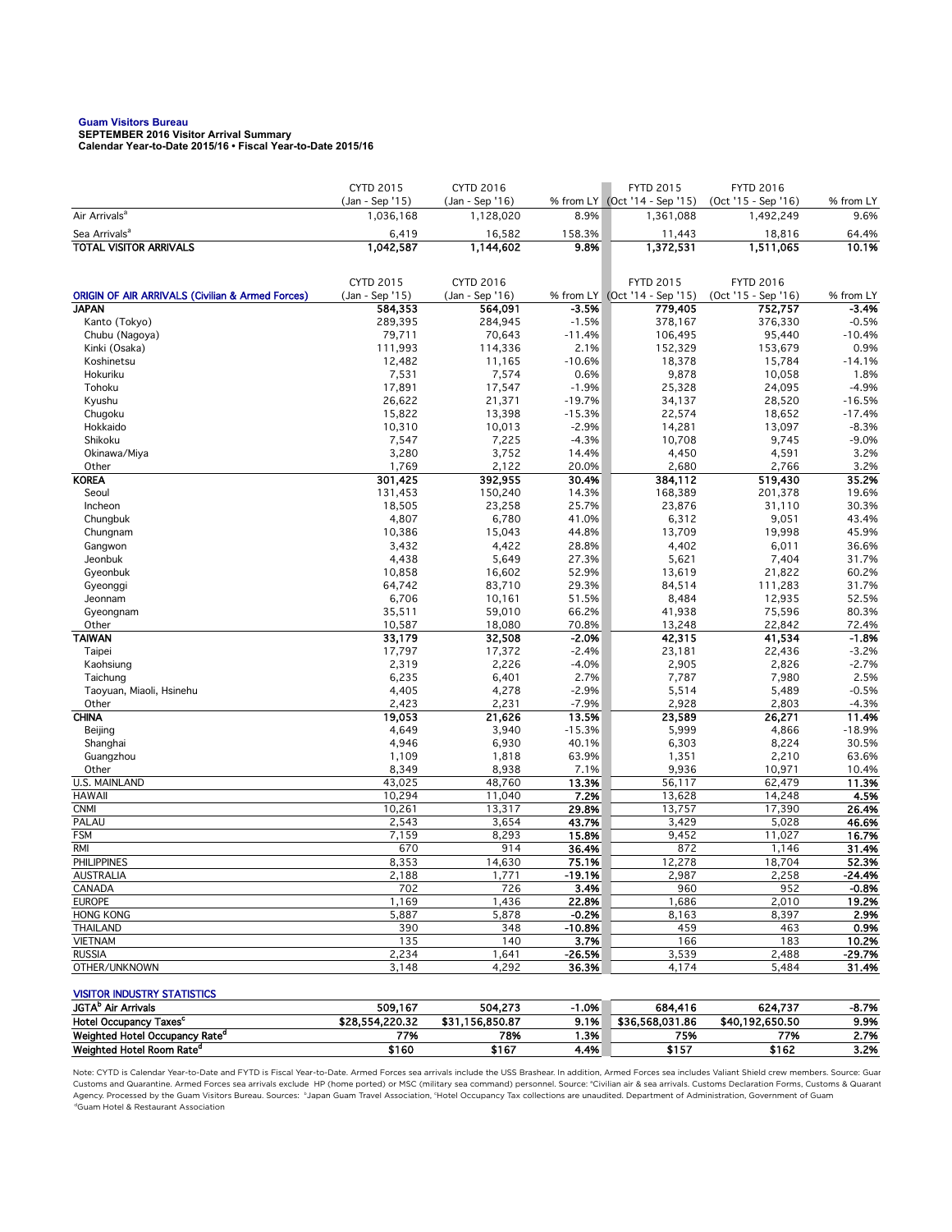# **Guam Visitors Bureau SEPTEMBER 2016 Visitor Arrival Summary**

**Calendar Year-to-Date 2015/16 • Fiscal Year-to-Date 2015/16** 

|                                                             | <b>CYTD 2015</b>             | CYTD 2016                    |                    | <b>FYTD 2015</b>                           | <b>FYTD 2016</b>                 |                     |
|-------------------------------------------------------------|------------------------------|------------------------------|--------------------|--------------------------------------------|----------------------------------|---------------------|
| Air Arrivals <sup>a</sup>                                   | (Jan - Sep '15)<br>1,036,168 | (Jan - Sep '16)<br>1,128,020 | 8.9%               | % from LY (Oct '14 - Sep '15)<br>1,361,088 | (Oct '15 - Sep '16)<br>1,492,249 | % from LY<br>9.6%   |
|                                                             |                              |                              |                    |                                            |                                  |                     |
| Sea Arrivals <sup>a</sup><br><b>TOTAL VISITOR ARRIVALS</b>  | 6,419<br>1,042,587           | 16,582<br>1,144,602          | 158.3%<br>9.8%     | 11,443<br>1,372,531                        | 18,816<br>1,511,065              | 64.4%<br>10.1%      |
|                                                             |                              |                              |                    |                                            |                                  |                     |
|                                                             |                              |                              |                    |                                            |                                  |                     |
|                                                             | CYTD 2015                    | CYTD 2016                    |                    | <b>FYTD 2015</b>                           | <b>FYTD 2016</b>                 |                     |
| <b>ORIGIN OF AIR ARRIVALS (Civilian &amp; Armed Forces)</b> | (Jan - Sep '15)              | (Jan - Sep '16)              |                    | % from LY (Oct '14 - Sep '15)              | (Oct '15 - Sep '16)              | % from LY           |
| <b>JAPAN</b>                                                | 584,353                      | 564,091                      | $-3.5%$<br>$-1.5%$ | 779,405                                    | 752,757<br>376,330               | $-3.4%$             |
| Kanto (Tokyo)<br>Chubu (Nagoya)                             | 289,395<br>79,711            | 284,945<br>70,643            | $-11.4%$           | 378,167<br>106,495                         | 95,440                           | $-0.5%$<br>$-10.4%$ |
| Kinki (Osaka)                                               | 111,993                      | 114,336                      | 2.1%               | 152,329                                    | 153,679                          | 0.9%                |
| Koshinetsu                                                  | 12,482                       | 11,165                       | $-10.6%$           | 18,378                                     | 15,784                           | $-14.1%$            |
| Hokuriku                                                    | 7,531                        | 7,574                        | 0.6%               | 9,878                                      | 10,058                           | 1.8%                |
| Tohoku                                                      | 17,891                       | 17,547                       | $-1.9%$            | 25,328                                     | 24,095                           | $-4.9%$             |
| Kyushu                                                      | 26,622                       | 21,371                       | $-19.7%$           | 34,137                                     | 28,520                           | $-16.5%$            |
| Chugoku                                                     | 15,822                       | 13,398                       | $-15.3%$           | 22,574                                     | 18,652                           | $-17.4%$            |
| Hokkaido                                                    | 10,310                       | 10,013                       | $-2.9%$            | 14,281                                     | 13,097                           | $-8.3%$             |
| Shikoku                                                     | 7,547                        | 7,225                        | $-4.3%$            | 10,708                                     | 9,745                            | $-9.0%$             |
| Okinawa/Miya                                                | 3,280                        | 3,752                        | 14.4%              | 4,450                                      | 4,591                            | 3.2%                |
| Other                                                       | 1,769                        | 2,122                        | 20.0%              | 2,680                                      | 2,766                            | 3.2%                |
| <b>KOREA</b>                                                | 301,425                      | 392,955                      | 30.4%              | 384,112                                    | 519,430                          | 35.2%               |
| Seoul                                                       | 131,453                      | 150,240                      | 14.3%              | 168,389                                    | 201,378                          | 19.6%               |
| Incheon                                                     | 18,505                       | 23,258                       | 25.7%              | 23,876                                     | 31,110                           | 30.3%               |
| Chungbuk                                                    | 4,807                        | 6,780                        | 41.0%              | 6,312                                      | 9,051                            | 43.4%               |
| Chungnam                                                    | 10,386                       | 15,043                       | 44.8%              | 13,709                                     | 19,998                           | 45.9%               |
| Gangwon                                                     | 3,432                        | 4,422                        | 28.8%              | 4,402                                      | 6,011                            | 36.6%               |
| Jeonbuk                                                     | 4,438                        | 5,649                        | 27.3%              | 5,621                                      | 7,404                            | 31.7%               |
| Gyeonbuk                                                    | 10,858                       | 16,602                       | 52.9%              | 13,619                                     | 21,822                           | 60.2%               |
| Gyeonggi                                                    | 64,742                       | 83,710                       | 29.3%              | 84,514                                     | 111,283                          | 31.7%               |
| Jeonnam                                                     | 6,706                        | 10,161                       | 51.5%              | 8,484                                      | 12,935                           | 52.5%               |
| Gyeongnam                                                   | 35,511                       | 59,010                       | 66.2%              | 41,938                                     | 75,596                           | 80.3%               |
| Other                                                       | 10,587                       | 18,080                       | 70.8%              | 13,248                                     | 22,842                           | 72.4%               |
| <b>TAIWAN</b>                                               | 33,179                       | 32,508                       | $-2.0%$            | 42,315                                     | 41,534                           | $-1.8%$             |
| Taipei                                                      | 17,797                       | 17,372                       | $-2.4%$            | 23,181                                     | 22,436                           | $-3.2%$             |
| Kaohsiung                                                   | 2,319                        | 2,226                        | $-4.0%$            | 2,905                                      | 2,826                            | $-2.7%$             |
| Taichung                                                    | 6,235                        | 6,401                        | 2.7%               | 7,787                                      | 7,980                            | 2.5%                |
| Taoyuan, Miaoli, Hsinehu                                    | 4,405                        | 4,278                        | $-2.9%$            | 5,514                                      | 5,489                            | $-0.5%$             |
| Other<br><b>CHINA</b>                                       | 2,423                        | 2,231                        | $-7.9%$<br>13.5%   | 2,928                                      | 2,803                            | $-4.3%$             |
| Beijing                                                     | 19,053<br>4,649              | 21,626<br>3,940              | $-15.3%$           | 23,589<br>5,999                            | 26,271<br>4,866                  | 11.4%<br>$-18.9%$   |
| Shanghai                                                    | 4,946                        | 6,930                        | 40.1%              | 6,303                                      | 8,224                            | 30.5%               |
| Guangzhou                                                   | 1,109                        | 1,818                        | 63.9%              | 1,351                                      | 2,210                            | 63.6%               |
| Other                                                       | 8,349                        | 8,938                        | 7.1%               | 9,936                                      | 10,971                           | 10.4%               |
| <b>U.S. MAINLAND</b>                                        | 43,025                       | 48,760                       | 13.3%              | 56,117                                     | 62,479                           | 11.3%               |
| <b>HAWAII</b>                                               | 10,294                       | 11,040                       | 7.2%               | 13,628                                     | 14,248                           | 4.5%                |
| <b>CNMI</b>                                                 | 10,261                       | 13,317                       | 29.8%              | 13,757                                     | 17,390                           | 26.4%               |
| PALAU                                                       | 2,543                        | 3,654                        | 43.7%              | 3,429                                      | 5,028                            | 46.6%               |
| <b>FSM</b>                                                  | 7,159                        | 8,293                        | 15.8%              | 9,452                                      | 11,027                           | 16.7%               |
| <b>RMI</b>                                                  | 670                          | 914                          | 36.4%              | 872                                        | 1,146                            | 31.4%               |
| <b>PHILIPPINES</b>                                          | 8,353                        | 14,630                       | 75.1%              | 12,278                                     | 18,704                           | 52.3%               |
| <b>AUSTRALIA</b>                                            | 2,188                        | 1,771                        | $-19.1%$           | 2,987                                      | 2,258                            | -24.4%              |
| CANADA                                                      | 702                          | 726                          | 3.4%               | 960                                        | 952                              | $-0.8%$             |
| <b>EUROPE</b>                                               | 1,169                        | 1,436                        | 22.8%              | 1,686                                      | 2,010                            | 19.2%               |
| <b>HONG KONG</b>                                            | 5,887                        | 5,878                        | $-0.2%$            | 8,163                                      | 8,397                            | 2.9%                |
| <b>THAILAND</b>                                             | 390                          | 348                          | $-10.8%$           | 459                                        | 463                              | 0.9%                |
| <b>VIETNAM</b>                                              | 135                          | 140                          | 3.7%               | 166                                        | 183                              | 10.2%               |
| <b>RUSSIA</b>                                               | 2,234                        | 1,641                        | $-26.5%$           | 3,539                                      | 2,488                            | -29.7%              |
| OTHER/UNKNOWN                                               | 3,148                        | 4,292                        | 36.3%              | 4,174                                      | 5,484                            | 31.4%               |
|                                                             |                              |                              |                    |                                            |                                  |                     |
| <b>VISITOR INDUSTRY STATISTICS</b>                          |                              |                              |                    |                                            |                                  |                     |
| JGTA <sup>b</sup> Air Arrivals                              | 509,167                      | 504,273                      | $-1.0%$            | 684,416                                    | 624,737                          | -8.7%               |
| Hotel Occupancy Taxes <sup>c</sup>                          | \$28,554,220.32              | \$31,156,850.87              | 9.1%               | \$36,568,031.86                            | \$40,192,650.50                  | 9.9%                |
| Weighted Hotel Occupancy Rate <sup>d</sup>                  | 77%                          | 78%                          | 1.3%               | 75%                                        | 77%                              | 2.7%                |

Weighted Hotel Room Rate<sup>d</sup> \$160 \$167 4.4% \$157 \$162 3.2% Note: CYTD is Calendar Year-to-Date and FYTD is Fiscal Year-to-Date. Armed Forces sea arrivals include the USS Brashear. In addition, Armed Forces sea includes Valiant Shield crew members. Source: Guar Customs and Quarantine. Armed Forces sea arrivals exclude HP (home ported) or MSC (military sea command) personnel. Source: \*Civilian air & sea arrivals. Customs Declaration Forms, Customs & Quarant<br>Agency. Processed by th

dGuam Hotel & Restaurant Association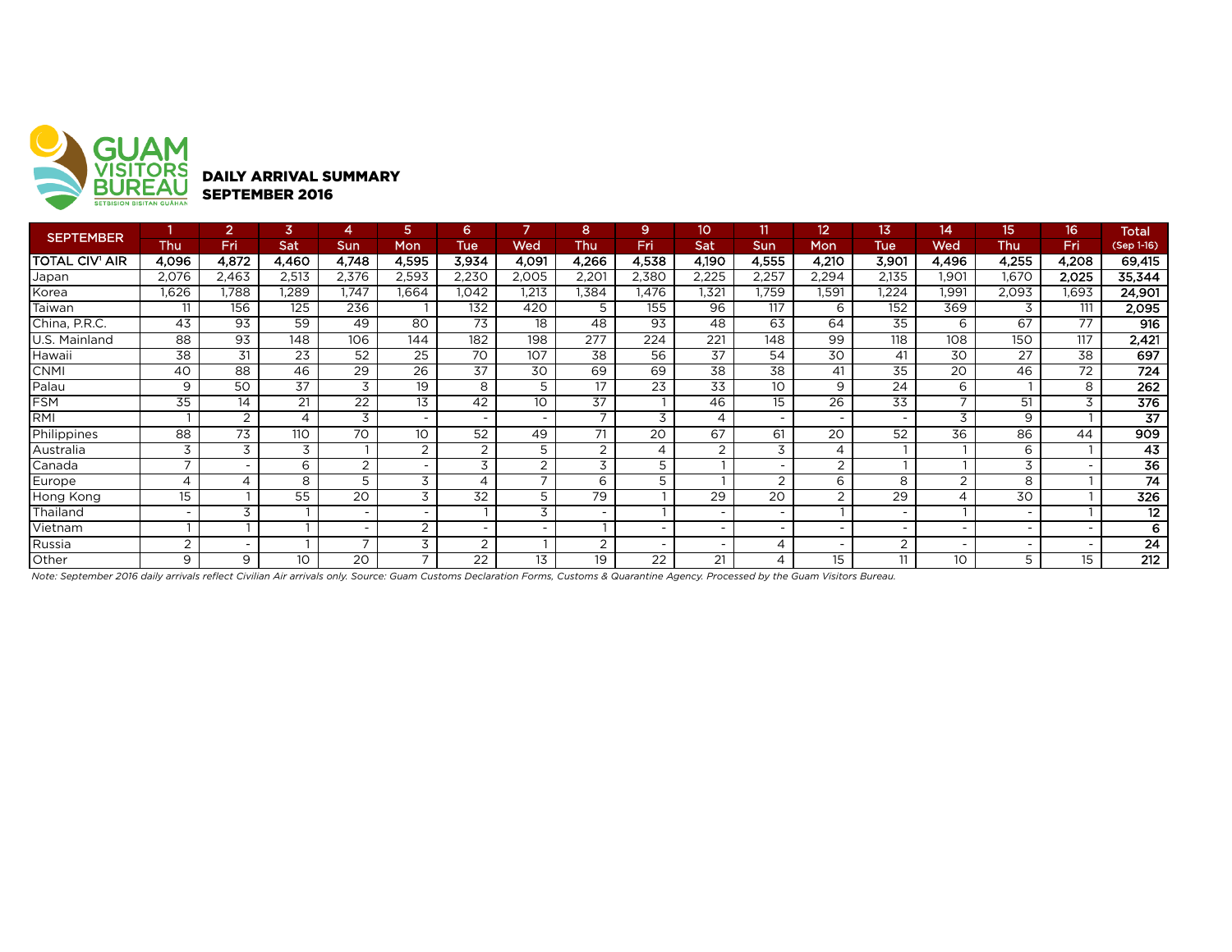

| <b>SEPTEMBER</b> |                          |                          | 3          |                          |                          | 6.                       |                 | 8                        | 9                        | 10 <sup>°</sup> | 11                       | 12                       | 13                       | 14                       | 15    | 16    | <b>Total</b>    |
|------------------|--------------------------|--------------------------|------------|--------------------------|--------------------------|--------------------------|-----------------|--------------------------|--------------------------|-----------------|--------------------------|--------------------------|--------------------------|--------------------------|-------|-------|-----------------|
|                  | Thu                      | Fri                      | <b>Sat</b> | <b>Sun</b>               | Mon                      | Tue                      | Wed             | Thu                      | <b>Fri</b>               | Sat             | <b>Sun</b>               | Mon                      | Tue                      | Wed                      | Thu   | Fri   | (Sep 1-16)      |
| TOTAL CIV' AIR   | 4,096                    | 4,872                    | 4,460      | 4,748                    | 4,595                    | 3,934                    | 4,091           | 4,266                    | 4,538                    | 4,190           | 4,555                    | 4,210                    | 3,901                    | 4,496                    | 4,255 | 4,208 | 69,415          |
| Japan            | 2,076                    | 2,463                    | 2,513      | 2,376                    | 2,593                    | 2,230                    | 2,005           | 2,201                    | 2,380                    | 2,225           | 2,257                    | 2,294                    | 2,135                    | .901                     | 1,670 | 2,025 | 35,344          |
| Korea            | 1,626                    | .788                     | ,289       | .747                     | .664                     | 1.042                    | 1.213           | 1,384                    | l.476                    | 1.321           | .759                     | 1,591                    | .224                     | 1,991                    | 2,093 | 1,693 | 24,901          |
| Taiwan           | 11                       | 156                      | 125        | 236                      |                          | 132                      | 420             | 5                        | 155                      | 96              | 117                      | 6                        | 152                      | 369                      |       | 111   | 2,095           |
| China, P.R.C.    | 43                       | 93                       | 59         | 49                       | 80                       | 73                       | 18              | 48                       | 93                       | 48              | 63                       | 64                       | 35                       | 6                        | 67    | 77    | 916             |
| U.S. Mainland    | 88                       | 93                       | 148        | 106                      | 144                      | 182                      | 198             | 277                      | 224                      | 221             | 148                      | 99                       | 118                      | 108                      | 150   | 117   | 2,421           |
| Hawaii           | 38                       | 31                       | 23         | 52                       | 25                       | 70                       | 107             | 38                       | 56                       | 37              | 54                       | 30                       | 41                       | 30                       | 27    | 38    | 697             |
| <b>CNMI</b>      | 40                       | 88                       | 46         | 29                       | 26                       | 37                       | 30              | 69                       | 69                       | 38              | 38                       | 41                       | $3\overline{5}$          | 20                       | 46    | 72    | 724             |
| Palau            | 9                        | 50                       | 37         | 3                        | 19                       | 8                        | 5               | 17                       | 23                       | 33              | 10                       | 9                        | 24                       | 6                        |       | 8     | 262             |
| <b>FSM</b>       | 35                       | 14                       | 21         | $\overline{22}$          | 13                       | 42                       | 10 <sup>°</sup> | $\overline{37}$          |                          | 46              | 15                       | 26                       | $\overline{33}$          | $\overline{\phantom{0}}$ | 51    | 3     | 376             |
| IRMI             |                          | 2                        | 4          | 3                        |                          |                          |                 | $\overline{\phantom{a}}$ | 3                        | 4               | $\overline{\phantom{0}}$ | $\overline{\phantom{0}}$ | $\overline{\phantom{0}}$ | 3                        | 9     |       | $\overline{37}$ |
| Philippines      | 88                       | $\overline{73}$          | 110        | 70                       | 10 <sup>°</sup>          | 52                       | 49              | 71                       | 20                       | 67              | 61                       | 20                       | 52                       | 36                       | 86    | 44    | 909             |
| Australia        | 3                        | 3                        | 3          |                          | 2                        | 2                        | 5               | 2                        | 4                        | 2               | 3                        | 4                        |                          |                          | 6     |       | $\overline{43}$ |
| Canada           | ⇁                        | $\overline{\phantom{a}}$ | 6          | $\overline{2}$           |                          | 3                        | $\sim$          | 3                        | 5                        |                 |                          | 2                        |                          |                          | 3     |       | 36              |
| Europe           | $\overline{4}$           | 4                        | 8          | 5                        | 3                        |                          |                 | 6                        | 5                        |                 | 2                        | 6                        | 8                        | $\overline{2}$           | 8     |       | 74              |
| Hong Kong        | 15                       |                          | 55         | 20                       | 3                        | 32                       | 5               | 79                       |                          | 29              | 20                       | 2                        | 29                       | 4                        | 30    |       | 326             |
| Thailand         | $\overline{\phantom{a}}$ | 3                        |            |                          |                          |                          | 3               |                          |                          |                 |                          |                          | $\overline{\phantom{0}}$ |                          |       |       | 12              |
| Vietnam          |                          |                          |            | $\overline{\phantom{0}}$ | $\overline{2}$           | $\overline{\phantom{0}}$ |                 |                          | $\overline{\phantom{0}}$ |                 | $\overline{\phantom{0}}$ | $\overline{\phantom{a}}$ | $\overline{\phantom{0}}$ | $\overline{\phantom{0}}$ |       |       | 6               |
| Russia           | 2                        | $\overline{\phantom{0}}$ |            | $\overline{\phantom{a}}$ | 3                        | 2                        |                 | 2                        | $\overline{\phantom{a}}$ |                 |                          | $\overline{\phantom{0}}$ | 2                        | $\overline{\phantom{0}}$ |       |       | 24              |
| Other            | 9                        | 9                        | 10         | 20                       | $\overline{\phantom{0}}$ | 22                       | 13              | 19                       | 22                       | 21              |                          | 15 <sup>15</sup>         | 11                       | 10                       | 5     | 15    | 212             |

*Note: September 2016 daily arrivals reflect Civilian Air arrivals only. Source: Guam Customs Declaration Forms, Customs & Quarantine Agency. Processed by the Guam Visitors Bureau.*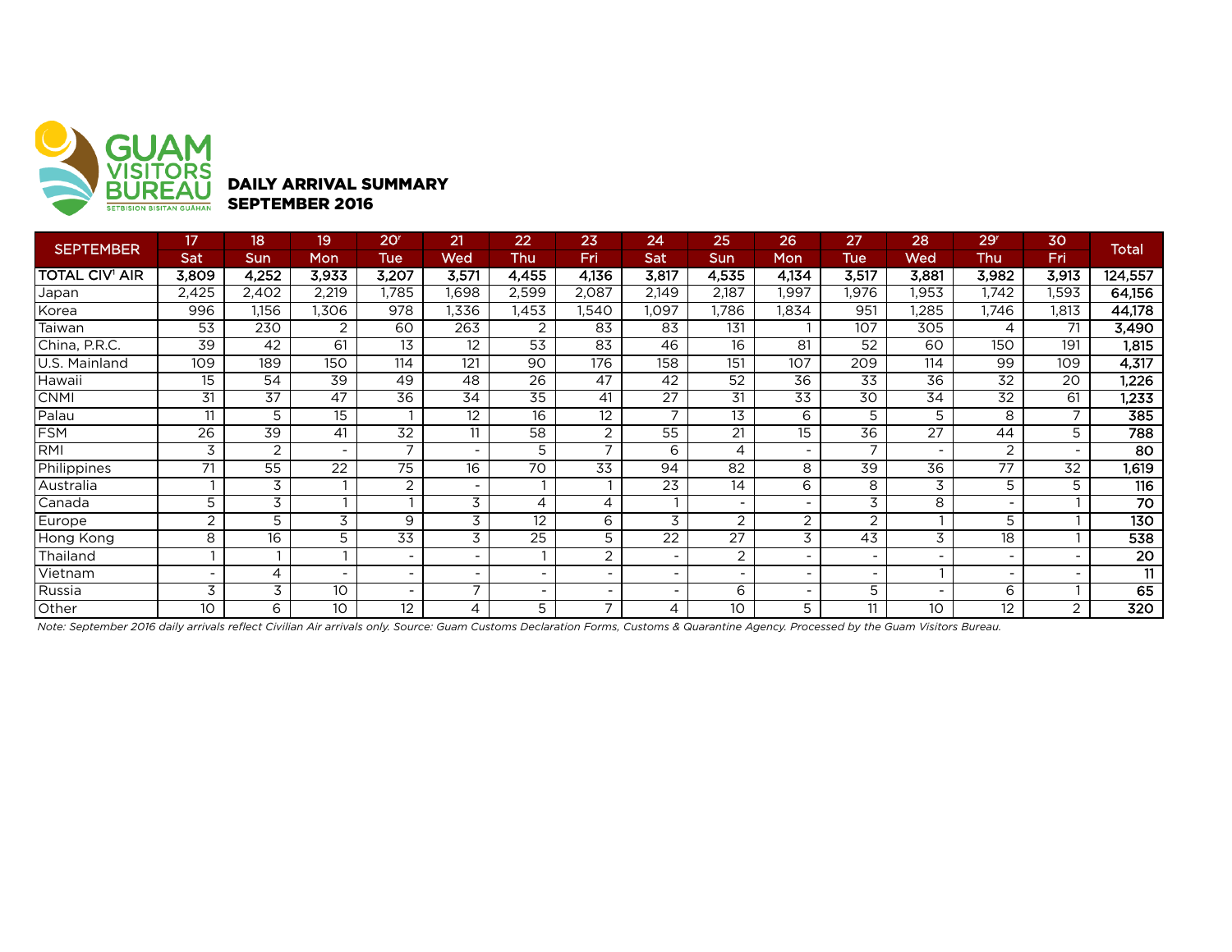

## DAILY ARRIVAL SUMMARY SEPTEMBER 2016

| <b>SEPTEMBER</b>      | 17              | 18    | 19                       | 20 <sup>r</sup>          | 21                       | $\overline{22}$          | 23                       | 24                           | 25         | 26                           | 27                       | 28              | 29 <sup>r</sup>          | 30    |                    |
|-----------------------|-----------------|-------|--------------------------|--------------------------|--------------------------|--------------------------|--------------------------|------------------------------|------------|------------------------------|--------------------------|-----------------|--------------------------|-------|--------------------|
|                       | Sat             | Sun   | Mon                      | Tue                      | Wed                      | Thu                      | <b>Fri</b>               | Sat                          | <b>Sun</b> | Mon                          | <b>Tue</b>               | Wed             | Thu                      | Fri   | <b>Total</b>       |
| <b>TOTAL CIV' AIR</b> | 3,809           | 4,252 | 3,933                    | 3,207                    | 3,571                    | 4,455                    | 4,136                    | 3,817                        | 4,535      | 4,134                        | 3,517                    | 3,881           | 3,982                    | 3,913 | 124,557            |
| Japan                 | 2,425           | 2,402 | 2,219                    | 1,785                    | 1,698                    | 2,599                    | 2,087                    | 2,149                        | 2,187      | 1,997                        | 1,976                    | 1,953           | 1,742                    | 1,593 | 64,156             |
| Korea                 | 996             | 1,156 | ,306                     | 978                      | 1,336                    | 1,453                    | .540                     | ,097                         | ,786       | 1,834                        | 951                      | ,285            | 1.746                    | 1,813 | 44,178             |
| Taiwan                | 53              | 230   | 2                        | 60                       | 263                      | $\overline{2}$           | 83                       | 83                           | 131        |                              | 107                      | 305             | 4                        | 71    | 3,490              |
| China, P.R.C.         | 39              | 42    | 61                       | 13                       | 12                       | 53                       | 83                       | 46                           | 16         | 81                           | 52                       | 60              | 150                      | 191   | 1,815              |
| U.S. Mainland         | 109             | 189   | 150                      | 114                      | 121                      | 90                       | 176                      | 158                          | 151        | 107                          | 209                      | 114             | 99                       | 109   | 4,317              |
| Hawaii                | 15              | 54    | 39                       | 49                       | 48                       | 26                       | 47                       | 42                           | 52         | 36                           | 33                       | 36              | 32                       | 20    | 1,226              |
| <b>CNMI</b>           | 31              | 37    | 47                       | 36                       | 34                       | 35                       | 41                       | 27                           | 31         | 33                           | 30                       | 34              | 32                       | 61    | 1,233              |
| Palau                 | 11              | 5     | 15                       |                          | $12 \,$                  | 16                       | 12                       | $\overline{7}$               | 13         | 6                            | 5                        | 5               | 8                        |       | 385                |
| <b>FSM</b>            | $\overline{26}$ | 39    | 41                       | 32                       | 11                       | 58                       | 2                        | 55                           | 21         | 15                           | 36                       | $\overline{27}$ | 44                       | 5     | 788                |
| <b>RMI</b>            | 3               | 2     | $\overline{\phantom{a}}$ | $\overline{ }$           | $\sim$                   | 5                        | $\overline{ }$           | 6                            | 4          | Ξ.                           | $\overline{7}$           | $\equiv$        | 2                        |       | 80                 |
| Philippines           | 71              | 55    | $\overline{22}$          | $\overline{75}$          | 16                       | 70                       | 33                       | 94                           | 82         | 8                            | 39                       | 36              | 77                       | 32    | $\overline{1,619}$ |
| Australia             |                 | 3     |                          | 2                        | $\,$ $\,$                |                          |                          | 23                           | 14         | 6                            | 8                        | 3               | 5                        | 5     | 116                |
| Canada                | 5               | 3     |                          |                          | 3                        | 4                        | 4                        |                              | $\sim$     | Ξ.                           | 3                        | 8               | $\overline{\phantom{0}}$ |       | $\overline{70}$    |
| Europe                | 2               | 5     | 3                        | 9                        | $\overline{3}$           | 12                       | 6                        | 3                            | 2          | $\overline{2}$               | $\overline{2}$           |                 | 5                        |       | 130                |
| Hong Kong             | 8               | 16    | 5                        | 33                       | 3                        | 25                       | 5                        | 22                           | 27         | 3                            | 43                       | 3               | 18                       |       | 538                |
| Thailand              |                 |       |                          | $\overline{\phantom{a}}$ |                          |                          | 2                        | $\blacksquare$               | 2          |                              | $\overline{\phantom{a}}$ |                 |                          |       | $\overline{20}$    |
| Vietnam               |                 | 4     | $\overline{\phantom{a}}$ | $\overline{\phantom{0}}$ | $\sim$                   | $\overline{\phantom{0}}$ |                          | $\blacksquare$               |            | $\overline{\phantom{0}}$     | $\overline{\phantom{a}}$ |                 | $\overline{\phantom{a}}$ |       | 11                 |
| Russia                | 3               | 3     | 10                       | $\overline{\phantom{0}}$ | $\overline{\phantom{a}}$ | $\overline{\phantom{0}}$ | $\overline{\phantom{0}}$ | $\qquad \qquad \blacksquare$ | 6          | $\qquad \qquad \blacksquare$ | 5                        |                 | 6                        |       | 65                 |
| Other                 | 10              | 6     | 10                       | 12                       | 4                        | 5                        | $\overline{7}$           | 4                            | 10         | 5                            | 11                       | 10              | 12                       | 2     | $\overline{320}$   |

*Note: September 2016 daily arrivals reflect Civilian Air arrivals only. Source: Guam Customs Declaration Forms, Customs & Quarantine Agency. Processed by the Guam Visitors Bureau.*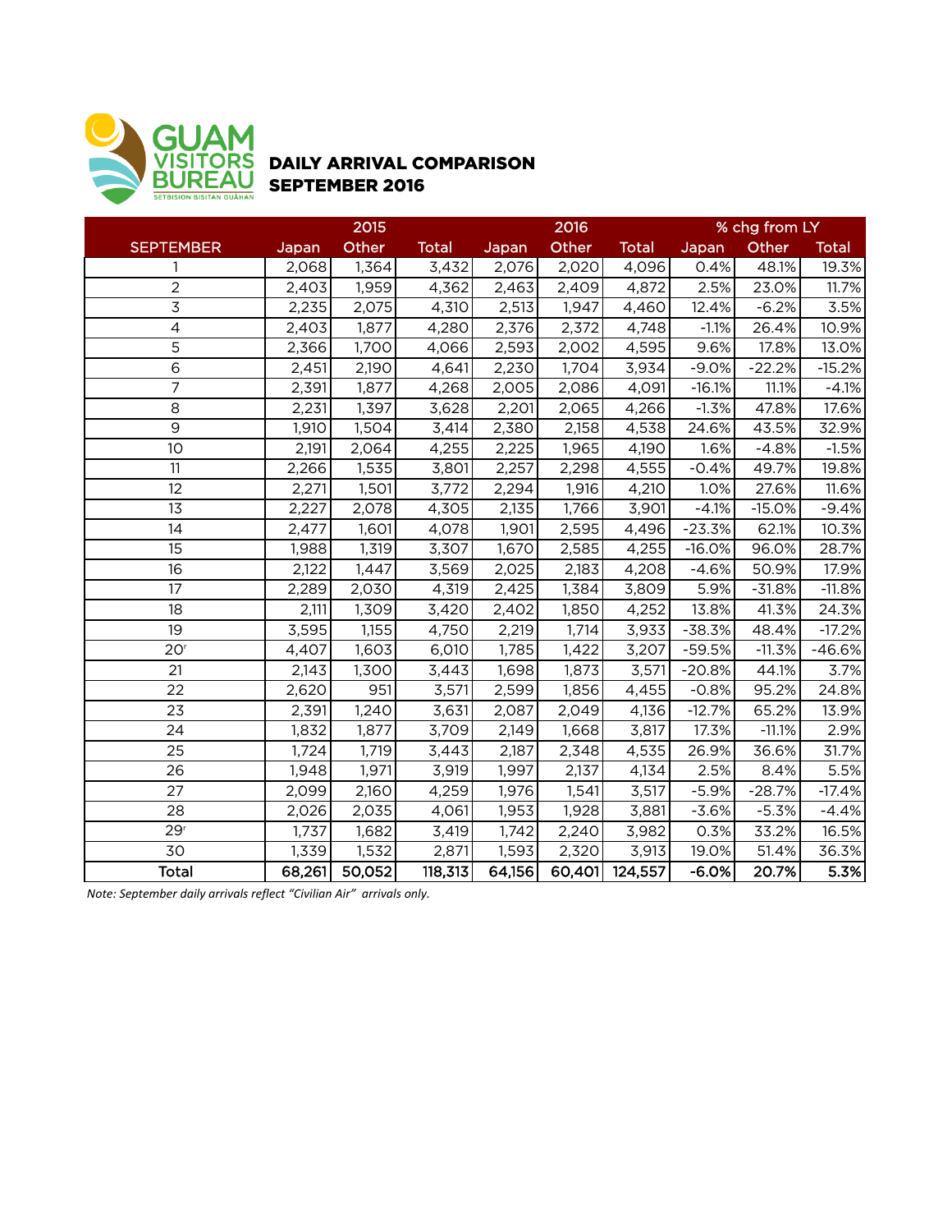

## DAILY ARRIVAL COMPARISON SEPTEMBER 2016

|                          |        | 2015   |              |        | 2016   |              | % chg from LY |          |              |  |
|--------------------------|--------|--------|--------------|--------|--------|--------------|---------------|----------|--------------|--|
| <b>SEPTEMBER</b>         | Japan  | Other  | <b>Total</b> | Japan  | Other  | <b>Total</b> | Japan         | Other    | <b>Total</b> |  |
| 1                        | 2,068  | 1,364  | 3,432        | 2,076  | 2,020  | 4,096        | 0.4%          | 48.1%    | 19.3%        |  |
| $\overline{2}$           | 2,403  | 1,959  | 4,362        | 2,463  | 2,409  | 4,872        | 2.5%          | 23.0%    | 11.7%        |  |
| $\overline{3}$           | 2,235  | 2,075  | 4,310        | 2,513  | 1,947  | 4,460        | 12.4%         | $-6.2%$  | 3.5%         |  |
| $\overline{\mathcal{L}}$ | 2,403  | 1,877  | 4,280        | 2,376  | 2,372  | 4,748        | $-1.1%$       | 26.4%    | 10.9%        |  |
| 5                        | 2,366  | 1,700  | 4,066        | 2,593  | 2,002  | 4,595        | 9.6%          | 17.8%    | 13.0%        |  |
| 6                        | 2,451  | 2,190  | 4,641        | 2,230  | 1,704  | 3,934        | $-9.0%$       | $-22.2%$ | $-15.2%$     |  |
| $\overline{7}$           | 2,391  | 1,877  | 4,268        | 2,005  | 2,086  | 4,091        | $-16.1%$      | 11.1%    | $-4.1%$      |  |
| 8                        | 2,231  | 1,397  | 3,628        | 2,201  | 2,065  | 4,266        | $-1.3%$       | 47.8%    | 17.6%        |  |
| 9                        | 1,910  | 1,504  | 3,414        | 2,380  | 2,158  | 4,538        | 24.6%         | 43.5%    | 32.9%        |  |
| 10                       | 2,191  | 2,064  | 4,255        | 2,225  | 1,965  | 4,190        | 1.6%          | $-4.8%$  | $-1.5%$      |  |
| 11                       | 2,266  | 1,535  | 3,801        | 2,257  | 2,298  | 4,555        | $-0.4%$       | 49.7%    | 19.8%        |  |
| 12                       | 2,271  | 1,501  | 3,772        | 2,294  | 1,916  | 4,210        | 1.0%          | 27.6%    | 11.6%        |  |
| 13                       | 2,227  | 2,078  | 4,305        | 2,135  | 1,766  | 3,901        | $-4.1%$       | $-15.0%$ | $-9.4%$      |  |
| 14                       | 2,477  | 1,601  | 4,078        | 1,901  | 2,595  | 4,496        | $-23.3%$      | 62.1%    | 10.3%        |  |
| 15                       | 1,988  | 1,319  | 3,307        | 1,670  | 2,585  | 4,255        | $-16.0%$      | 96.0%    | 28.7%        |  |
| 16                       | 2,122  | 1,447  | 3,569        | 2,025  | 2,183  | 4,208        | $-4.6%$       | 50.9%    | 17.9%        |  |
| 17                       | 2,289  | 2,030  | 4,319        | 2,425  | 1,384  | 3,809        | 5.9%          | $-31.8%$ | $-11.8%$     |  |
| 18                       | 2,111  | 1,309  | 3,420        | 2,402  | 1,850  | 4,252        | 13.8%         | 41.3%    | 24.3%        |  |
| 19                       | 3,595  | 1,155  | 4,750        | 2,219  | 1,714  | 3,933        | $-38.3%$      | 48.4%    | $-17.2%$     |  |
| 20 <sup>r</sup>          | 4,407  | 1,603  | 6,010        | 1,785  | 1,422  | 3,207        | $-59.5%$      | $-11.3%$ | $-46.6%$     |  |
| 21                       | 2,143  | 1,300  | 3,443        | 1,698  | 1,873  | 3,571        | $-20.8%$      | 44.1%    | 3.7%         |  |
| 22                       | 2,620  | 951    | 3,571        | 2,599  | 1,856  | 4,455        | $-0.8%$       | 95.2%    | 24.8%        |  |
| 23                       | 2,391  | 1,240  | 3,631        | 2,087  | 2,049  | 4,136        | $-12.7%$      | 65.2%    | 13.9%        |  |
| 24                       | 1,832  | 1,877  | 3,709        | 2,149  | 1,668  | 3,817        | 17.3%         | $-11.1%$ | 2.9%         |  |
| 25                       | 1,724  | 1,719  | 3,443        | 2,187  | 2,348  | 4,535        | 26.9%         | 36.6%    | 31.7%        |  |
| 26                       | 1,948  | 1,971  | 3,919        | 1,997  | 2,137  | 4,134        | 2.5%          | 8.4%     | 5.5%         |  |
| 27                       | 2,099  | 2,160  | 4,259        | 1,976  | 1,541  | 3,517        | $-5.9%$       | $-28.7%$ | $-17.4%$     |  |
| 28                       | 2,026  | 2,035  | 4,061        | 1,953  | 1,928  | 3,881        | $-3.6%$       | $-5.3%$  | $-4.4%$      |  |
| 29 <sup>r</sup>          | 1,737  | 1,682  | 3,419        | 1,742  | 2,240  | 3,982        | 0.3%          | 33.2%    | 16.5%        |  |
| 30                       | 1,339  | 1,532  | 2,871        | 1,593  | 2,320  | 3,913        | 19.0%         | 51.4%    | 36.3%        |  |
| <b>Total</b>             | 68,261 | 50,052 | 118,313      | 64,156 | 60,401 | 124,557      | $-6.0%$       | 20.7%    | 5.3%         |  |

*Note:* September daily arrivals reflect "Civilian Air" arrivals only.